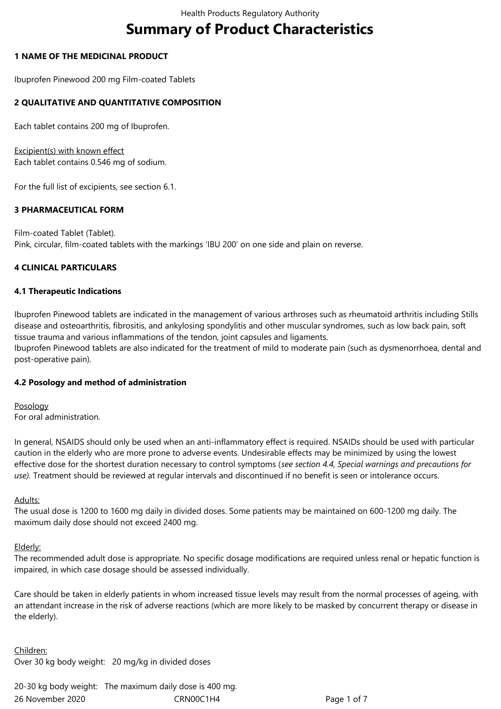# **Summary of Product Characteristics**

## **1 NAME OF THE MEDICINAL PRODUCT**

Ibuprofen Pinewood 200 mg Film-coated Tablets

## **2 QUALITATIVE AND QUANTITATIVE COMPOSITION**

Each tablet contains 200 mg of Ibuprofen.

Excipient(s) with known effect Each tablet contains 0.546 mg of sodium.

For the full list of excipients, see section 6.1.

## **3 PHARMACEUTICAL FORM**

Film-coated Tablet (Tablet). Pink, circular, film-coated tablets with the markings 'IBU 200' on one side and plain on reverse.

## **4 CLINICAL PARTICULARS**

#### **4.1 Therapeutic Indications**

Ibuprofen Pinewood tablets are indicated in the management of various arthroses such as rheumatoid arthritis including Stills disease and osteoarthritis, fibrositis, and ankylosing spondylitis and other muscular syndromes, such as low back pain, soft tissue trauma and various inflammations of the tendon, joint capsules and ligaments. Ibuprofen Pinewood tablets are also indicated for the treatment of mild to moderate pain (such as dysmenorrhoea, dental and

#### **4.2 Posology and method of administration**

**Posology** For oral administration.

post-operative pain).

In general, NSAIDS should only be used when an anti-inflammatory effect is required. NSAIDs should be used with particular caution in the elderly who are more prone to adverse events. Undesirable effects may be minimized by using the lowest effective dose for the shortest duration necessary to control symptoms (*see section 4.4, Special warnings and precautions for use).* Treatment should be reviewed at regular intervals and discontinued if no benefit is seen or intolerance occurs.

#### Adults:

The usual dose is 1200 to 1600 mg daily in divided doses. Some patients may be maintained on 600-1200 mg daily. The maximum daily dose should not exceed 2400 mg.

#### Elderly:

The recommended adult dose is appropriate. No specific dosage modifications are required unless renal or hepatic function is impaired, in which case dosage should be assessed individually.

Care should be taken in elderly patients in whom increased tissue levels may result from the normal processes of ageing, with an attendant increase in the risk of adverse reactions (which are more likely to be masked by concurrent therapy or disease in the elderly).

Children: Over 30 kg body weight: 20 mg/kg in divided doses

26 November 2020 CRN00C1H4 Page 1 of 7 20-30 kg body weight: The maximum daily dose is 400 mg.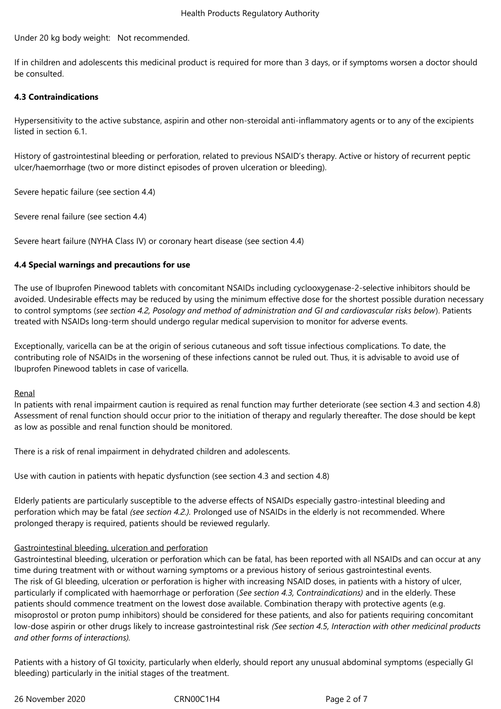Under 20 kg body weight: Not recommended.

If in children and adolescents this medicinal product is required for more than 3 days, or if symptoms worsen a doctor should be consulted.

## **4.3 Contraindications**

Hypersensitivity to the active substance, aspirin and other non-steroidal anti-inflammatory agents or to any of the excipients listed in section 6.1.

History of gastrointestinal bleeding or perforation, related to previous NSAID's therapy. Active or history of recurrent peptic ulcer/haemorrhage (two or more distinct episodes of proven ulceration or bleeding).

Severe hepatic failure (see section 4.4)

Severe renal failure (see section 4.4)

Severe heart failure (NYHA Class IV) or coronary heart disease (see section 4.4)

#### **4.4 Special warnings and precautions for use**

The use of Ibuprofen Pinewood tablets with concomitant NSAIDs including cyclooxygenase-2-selective inhibitors should be avoided. Undesirable effects may be reduced by using the minimum effective dose for the shortest possible duration necessary to control symptoms (*see section 4.2, Posology and method of administration and GI and cardiovascular risks below*). Patients treated with NSAIDs long-term should undergo regular medical supervision to monitor for adverse events.

Exceptionally, varicella can be at the origin of serious cutaneous and soft tissue infectious complications. To date, the contributing role of NSAIDs in the worsening of these infections cannot be ruled out. Thus, it is advisable to avoid use of Ibuprofen Pinewood tablets in case of varicella.

#### Renal

In patients with renal impairment caution is required as renal function may further deteriorate (see section 4.3 and section 4.8) Assessment of renal function should occur prior to the initiation of therapy and regularly thereafter. The dose should be kept as low as possible and renal function should be monitored.

There is a risk of renal impairment in dehydrated children and adolescents.

Use with caution in patients with hepatic dysfunction (see section 4.3 and section 4.8)

Elderly patients are particularly susceptible to the adverse effects of NSAIDs especially gastro-intestinal bleeding and perforation which may be fatal *(see section 4.2.).* Prolonged use of NSAIDs in the elderly is not recommended. Where prolonged therapy is required, patients should be reviewed regularly.

#### Gastrointestinal bleeding, ulceration and perforation

Gastrointestinal bleeding, ulceration or perforation which can be fatal, has been reported with all NSAIDs and can occur at any time during treatment with or without warning symptoms or a previous history of serious gastrointestinal events. The risk of GI bleeding, ulceration or perforation is higher with increasing NSAID doses, in patients with a history of ulcer, particularly if complicated with haemorrhage or perforation (*See section 4.3, Contraindications)* and in the elderly. These patients should commence treatment on the lowest dose available. Combination therapy with protective agents (e.g. misoprostol or proton pump inhibitors) should be considered for these patients, and also for patients requiring concomitant low-dose aspirin or other drugs likely to increase gastrointestinal risk *(See section 4.5, Interaction with other medicinal products and other forms of interactions).*

Patients with a history of GI toxicity, particularly when elderly, should report any unusual abdominal symptoms (especially GI bleeding) particularly in the initial stages of the treatment.

26 November 2020 CRN00C1H4 Page 2 of 7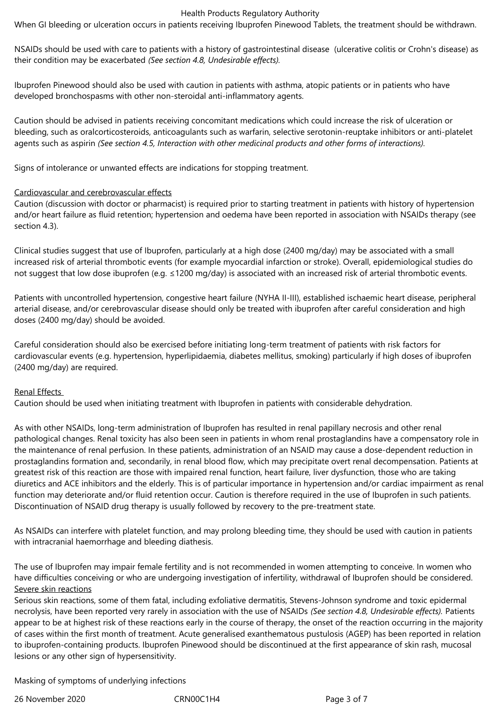#### Health Products Regulatory Authority

When GI bleeding or ulceration occurs in patients receiving Ibuprofen Pinewood Tablets, the treatment should be withdrawn.

NSAIDs should be used with care to patients with a history of gastrointestinal disease (ulcerative colitis or Crohn's disease) as their condition may be exacerbated *(See section 4.8, Undesirable effects).*

Ibuprofen Pinewood should also be used with caution in patients with asthma, atopic patients or in patients who have developed bronchospasms with other non-steroidal anti-inflammatory agents.

Caution should be advised in patients receiving concomitant medications which could increase the risk of ulceration or bleeding, such as oralcorticosteroids, anticoagulants such as warfarin, selective serotonin-reuptake inhibitors or anti-platelet agents such as aspirin *(See section 4.5, Interaction with other medicinal products and other forms of interactions).*

Signs of intolerance or unwanted effects are indications for stopping treatment.

## Cardiovascular and cerebrovascular effects

Caution (discussion with doctor or pharmacist) is required prior to starting treatment in patients with history of hypertension and/or heart failure as fluid retention; hypertension and oedema have been reported in association with NSAIDs therapy (see section 4.3).

Clinical studies suggest that use of Ibuprofen, particularly at a high dose (2400 mg/day) may be associated with a small increased risk of arterial thrombotic events (for example myocardial infarction or stroke). Overall, epidemiological studies do not suggest that low dose ibuprofen (e.g. ≤1200 mg/day) is associated with an increased risk of arterial thrombotic events.

Patients with uncontrolled hypertension, congestive heart failure (NYHA II-III), established ischaemic heart disease, peripheral arterial disease, and/or cerebrovascular disease should only be treated with ibuprofen after careful consideration and high doses (2400 mg/day) should be avoided.

Careful consideration should also be exercised before initiating long-term treatment of patients with risk factors for cardiovascular events (e.g. hypertension, hyperlipidaemia, diabetes mellitus, smoking) particularly if high doses of ibuprofen (2400 mg/day) are required.

#### Renal Effects

Caution should be used when initiating treatment with Ibuprofen in patients with considerable dehydration.

As with other NSAIDs, long-term administration of Ibuprofen has resulted in renal papillary necrosis and other renal pathological changes. Renal toxicity has also been seen in patients in whom renal prostaglandins have a compensatory role in the maintenance of renal perfusion. In these patients, administration of an NSAID may cause a dose-dependent reduction in prostaglandins formation and, secondarily, in renal blood flow, which may precipitate overt renal decompensation. Patients at greatest risk of this reaction are those with impaired renal function, heart failure, liver dysfunction, those who are taking diuretics and ACE inhibitors and the elderly. This is of particular importance in hypertension and/or cardiac impairment as renal function may deteriorate and/or fluid retention occur. Caution is therefore required in the use of Ibuprofen in such patients. Discontinuation of NSAID drug therapy is usually followed by recovery to the pre-treatment state.

As NSAIDs can interfere with platelet function, and may prolong bleeding time, they should be used with caution in patients with intracranial haemorrhage and bleeding diathesis.

The use of Ibuprofen may impair female fertility and is not recommended in women attempting to conceive. In women who have difficulties conceiving or who are undergoing investigation of infertility, withdrawal of Ibuprofen should be considered. Severe skin reactions

Serious skin reactions, some of them fatal, including exfoliative dermatitis, Stevens-Johnson syndrome and toxic epidermal necrolysis, have been reported very rarely in association with the use of NSAIDs *(See section 4.8, Undesirable effects).* Patients appear to be at highest risk of these reactions early in the course of therapy, the onset of the reaction occurring in the majority of cases within the first month of treatment. Acute generalised exanthematous pustulosis (AGEP) has been reported in relation to ibuprofen-containing products. Ibuprofen Pinewood should be discontinued at the first appearance of skin rash, mucosal lesions or any other sign of hypersensitivity.

Masking of symptoms of underlying infections

26 November 2020 CRN00C1H4 Page 3 of 7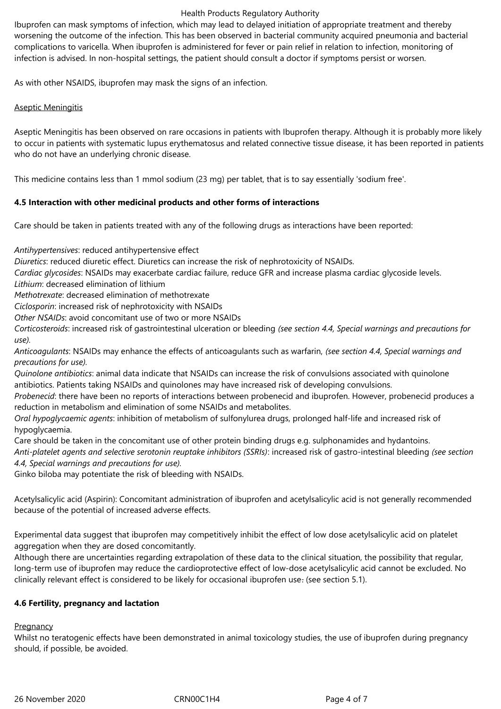## Health Products Regulatory Authority

Ibuprofen can mask symptoms of infection, which may lead to delayed initiation of appropriate treatment and thereby worsening the outcome of the infection. This has been observed in bacterial community acquired pneumonia and bacterial complications to varicella. When ibuprofen is administered for fever or pain relief in relation to infection, monitoring of infection is advised. In non-hospital settings, the patient should consult a doctor if symptoms persist or worsen.

As with other NSAIDS, ibuprofen may mask the signs of an infection.

## Aseptic Meningitis

Aseptic Meningitis has been observed on rare occasions in patients with Ibuprofen therapy. Although it is probably more likely to occur in patients with systematic lupus erythematosus and related connective tissue disease, it has been reported in patients who do not have an underlying chronic disease.

This medicine contains less than 1 mmol sodium (23 mg) per tablet, that is to say essentially 'sodium free'.

## **4.5 Interaction with other medicinal products and other forms of interactions**

Care should be taken in patients treated with any of the following drugs as interactions have been reported:

*Antihypertensives*: reduced antihypertensive effect

*Diuretics*: reduced diuretic effect. Diuretics can increase the risk of nephrotoxicity of NSAIDs.

*Cardiac glycosides*: NSAIDs may exacerbate cardiac failure, reduce GFR and increase plasma cardiac glycoside levels.

*Lithium*: decreased elimination of lithium

*Methotrexate*: decreased elimination of methotrexate

*Ciclosporin*: increased risk of nephrotoxicity with NSAIDs

*Other NSAIDs*: avoid concomitant use of two or more NSAIDs

*Corticosteroids*: increased risk of gastrointestinal ulceration or bleeding *(see section 4.4, Special warnings and precautions for use).*

*Anticoagulants*: NSAIDs may enhance the effects of anticoagulants such as warfarin, *(see section 4.4, Special warnings and precautions for use).*

*Quinolone antibiotics*: animal data indicate that NSAIDs can increase the risk of convulsions associated with quinolone antibiotics. Patients taking NSAIDs and quinolones may have increased risk of developing convulsions.

*Probenecid*: there have been no reports of interactions between probenecid and ibuprofen. However, probenecid produces a reduction in metabolism and elimination of some NSAIDs and metabolites.

*Oral hypoglycaemic agents*: inhibition of metabolism of sulfonylurea drugs, prolonged half-life and increased risk of hypoglycaemia.

Care should be taken in the concomitant use of other protein binding drugs e.g. sulphonamides and hydantoins. *Anti-platelet agents and selective serotonin reuptake inhibitors (SSRIs)*: increased risk of gastro-intestinal bleeding *(see section 4.4, Special warnings and precautions for use).*

Ginko biloba may potentiate the risk of bleeding with NSAIDs.

Acetylsalicylic acid (Aspirin): Concomitant administration of ibuprofen and acetylsalicylic acid is not generally recommended because of the potential of increased adverse effects.

Experimental data suggest that ibuprofen may competitively inhibit the effect of low dose acetylsalicylic acid on platelet aggregation when they are dosed concomitantly.

Although there are uncertainties regarding extrapolation of these data to the clinical situation, the possibility that regular, long-term use of ibuprofen may reduce the cardioprotective effect of low-dose acetylsalicylic acid cannot be excluded. No clinically relevant effect is considered to be likely for occasional ibuprofen use. (see section 5.1).

# **4.6 Fertility, pregnancy and lactation**

Pregnancy

Whilst no teratogenic effects have been demonstrated in animal toxicology studies, the use of ibuprofen during pregnancy should, if possible, be avoided.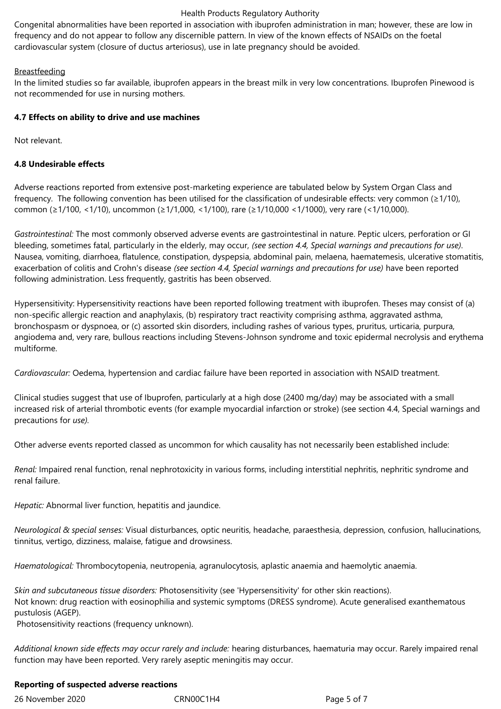#### Health Products Regulatory Authority

Congenital abnormalities have been reported in association with ibuprofen administration in man; however, these are low in frequency and do not appear to follow any discernible pattern. In view of the known effects of NSAIDs on the foetal cardiovascular system (closure of ductus arteriosus), use in late pregnancy should be avoided.

## Breastfeeding

In the limited studies so far available, ibuprofen appears in the breast milk in very low concentrations. Ibuprofen Pinewood is not recommended for use in nursing mothers.

## **4.7 Effects on ability to drive and use machines**

Not relevant.

## **4.8 Undesirable effects**

Adverse reactions reported from extensive post-marketing experience are tabulated below by System Organ Class and frequency. The following convention has been utilised for the classification of undesirable effects: very common (≥1/10), common (≥1/100, <1/10), uncommon (≥1/1,000, <1/100), rare (≥1/10,000 <1/1000), very rare (<1/10,000).

*Gastrointestinal:* The most commonly observed adverse events are gastrointestinal in nature. Peptic ulcers, perforation or GI bleeding, sometimes fatal, particularly in the elderly, may occur, *(see section 4.4, Special warnings and precautions for use).* Nausea, vomiting, diarrhoea, flatulence, constipation, dyspepsia, abdominal pain, melaena, haematemesis, ulcerative stomatitis, exacerbation of colitis and Crohn's disease *(see section 4.4, Special warnings and precautions for use)* have been reported following administration. Less frequently, gastritis has been observed.

Hypersensitivity: Hypersensitivity reactions have been reported following treatment with ibuprofen. Theses may consist of (a) non-specific allergic reaction and anaphylaxis, (b) respiratory tract reactivity comprising asthma, aggravated asthma, bronchospasm or dyspnoea, or (c) assorted skin disorders, including rashes of various types, pruritus, urticaria, purpura, angiodema and, very rare, bullous reactions including Stevens-Johnson syndrome and toxic epidermal necrolysis and erythema multiforme.

*Cardiovascular:* Oedema, hypertension and cardiac failure have been reported in association with NSAID treatment.

Clinical studies suggest that use of Ibuprofen, particularly at a high dose (2400 mg/day) may be associated with a small increased risk of arterial thrombotic events (for example myocardial infarction or stroke) (see section 4.4, Special warnings and precautions for *use).*

Other adverse events reported classed as uncommon for which causality has not necessarily been established include:

*Renal:* Impaired renal function, renal nephrotoxicity in various forms, including interstitial nephritis, nephritic syndrome and renal failure.

*Hepatic:* Abnormal liver function, hepatitis and jaundice.

*Neurological & special senses:* Visual disturbances, optic neuritis, headache, paraesthesia, depression, confusion, hallucinations, tinnitus, vertigo, dizziness, malaise, fatigue and drowsiness.

*Haematological:* Thrombocytopenia, neutropenia, agranulocytosis, aplastic anaemia and haemolytic anaemia.

*Skin and subcutaneous tissue disorders:* Photosensitivity (see 'Hypersensitivity' for other skin reactions). Not known: drug reaction with eosinophilia and systemic symptoms (DRESS syndrome). Acute generalised exanthematous pustulosis (AGEP).

Photosensitivity reactions (frequency unknown).

*Additional known side effects may occur rarely and include:* hearing disturbances, haematuria may occur. Rarely impaired renal function may have been reported. Very rarely aseptic meningitis may occur.

#### **Reporting of suspected adverse reactions**

26 November 2020 CRN00C1H4 Page 5 of 7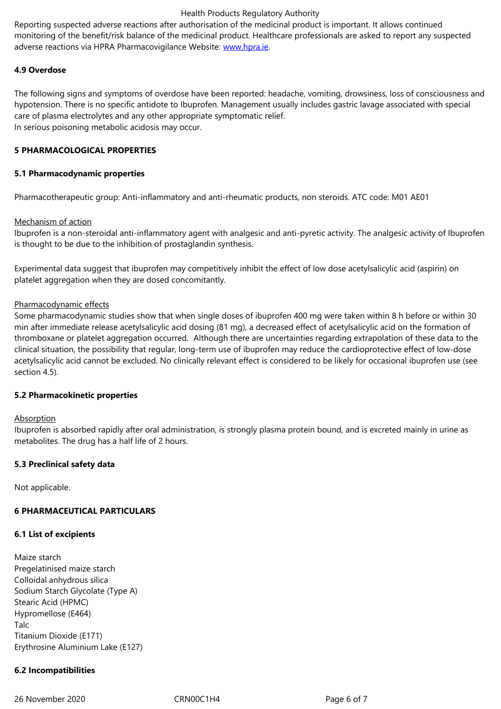adverse reactions via HPRA Pharmacovigilance Website: www.hpra.ie.

## **4.9 Overdose**

The following signs and symptoms of overdose have be[en reported: h](http://www.hpra.ie/)eadache, vomiting, drowsiness, loss of consciousness and hypotension. There is no specific antidote to Ibuprofen. Management usually includes gastric lavage associated with special care of plasma electrolytes and any other appropriate symptomatic relief. In serious poisoning metabolic acidosis may occur.

## **5 PHARMACOLOGICAL PROPERTIES**

#### **5.1 Pharmacodynamic properties**

Pharmacotherapeutic group: Anti-inflammatory and anti-rheumatic products, non steroids. ATC code: M01 AE01

#### Mechanism of action

Ibuprofen is a non-steroidal anti-inflammatory agent with analgesic and anti-pyretic activity. The analgesic activity of Ibuprofen is thought to be due to the inhibition of prostaglandin synthesis.

Experimental data suggest that ibuprofen may competitively inhibit the effect of low dose acetylsalicylic acid (aspirin) on platelet aggregation when they are dosed concomitantly.

#### Pharmacodynamic effects

Some pharmacodynamic studies show that when single doses of ibuprofen 400 mg were taken within 8 h before or within 30 min after immediate release acetylsalicylic acid dosing (81 mg), a decreased effect of acetylsalicylic acid on the formation of thromboxane or platelet aggregation occurred. Although there are uncertainties regarding extrapolation of these data to the clinical situation, the possibility that regular, long-term use of ibuprofen may reduce the cardioprotective effect of low-dose acetylsalicylic acid cannot be excluded. No clinically relevant effect is considered to be likely for occasional ibuprofen use (see section 4.5).

#### **5.2 Pharmacokinetic properties**

#### **Absorption**

Ibuprofen is absorbed rapidly after oral administration, is strongly plasma protein bound, and is excreted mainly in urine as metabolites. The drug has a half life of 2 hours.

#### **5.3 Preclinical safety data**

Not applicable.

#### **6 PHARMACEUTICAL PARTICULARS**

#### **6.1 List of excipients**

Maize starch Pregelatinised maize starch Colloidal anhydrous silica Sodium Starch Glycolate (Type A) Stearic Acid (HPMC) Hypromellose (E464) Talc Titanium Dioxide (E171) Erythrosine Aluminium Lake (E127)

#### **6.2 Incompatibilities**